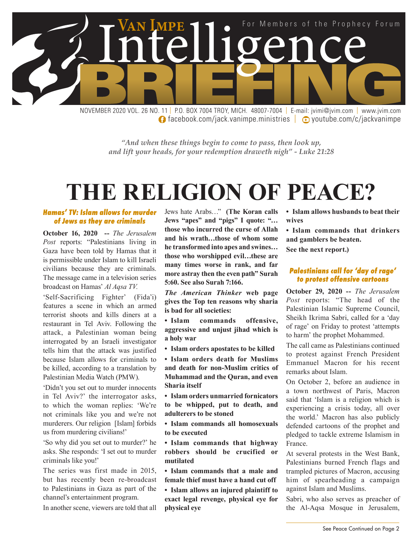

**f** facebook.com/jack.vanimpe.ministries | **D** youtube.com/c/jackvanimpe

*"And when these things begin to come to pass, then look up, and lift your heads, for your redemption draweth nigh" - Luke 21:28*

## **THE RELIGION OF PEACE?**

#### *Hamas' TV: Islam allows for murder of Jews as they are criminals*

**October 16, 2020 --** *The Jerusalem Post* reports: "Palestinians living in Gaza have been told by Hamas that it is permissible under Islam to kill Israeli civilians because they are criminals. The message came in a television series broadcast on Hamas' *Al Aqsa TV.*

'Self-Sacrificing Fighter' (Fida'i) features a scene in which an armed terrorist shoots and kills diners at a restaurant in Tel Aviv. Following the attack, a Palestinian woman being interrogated by an Israeli investigator tells him that the attack was justified because Islam allows for criminals to be killed, according to a translation by Palestinian Media Watch (PMW).

'Didn't you set out to murder innocents in Tel Aviv?' the interrogator asks, to which the woman replies: 'We're not criminals like you and we're not murderers. Our religion [Islam] forbids us from murdering civilians!'

'So why did you set out to murder?' he asks. She responds: 'I set out to murder criminals like you!'

The series was first made in 2015, but has recently been re-broadcast to Palestinians in Gaza as part of the channel's entertainment program.

In another scene, viewers are told that all

Jews hate Arabs…" **(The Koran calls Jews "apes" and "pigs" I quote: "… those who incurred the curse of Allah and his wrath…those of whom some he transformed into apes and swines… those who worshipped evil…these are many times worse in rank, and far more astray then the even path" Surah 5:60. See also Surah 7:166.** 

*The American Thinker* **web page gives the Top ten reasons why sharia is bad for all societies:**

**• Islam commands offensive, aggressive and unjust jihad which is a holy war**

**• Islam orders apostates to be killed**

**• Islam orders death for Muslims and death for non-Muslim critics of Muhammad and the Quran, and even Sharia itself**

**• Islam orders unmarried fornicators to be whipped, put to death, and adulterers to be stoned**

**• Islam commands all homosexuals to be executed**

**• Islam commands that highway robbers should be crucified or mutilated**

**• Islam commands that a male and female thief must have a hand cut off**

**• Islam allows an injured plaintiff to exact legal revenge, physical eye for physical eye**

**• Islam allows husbands to beat their wives**

**• Islam commands that drinkers and gamblers be beaten.** 

**See the next report.)**

#### *Palestinians call for 'day of rage' to protest offensive cartoons*

**October 29, 2020 --** *The Jerusalem Post* reports: "The head of the Palestinian Islamic Supreme Council, Sheikh Ikrima Sabri, called for a 'day of rage' on Friday to protest 'attempts to harm' the prophet Mohammed.

The call came as Palestinians continued to protest against French President Emmanuel Macron for his recent remarks about Islam.

On October 2, before an audience in a town northwest of Paris, Macron said that 'Islam is a religion which is experiencing a crisis today, all over the world.' Macron has also publicly defended cartoons of the prophet and pledged to tackle extreme Islamism in France.

At several protests in the West Bank, Palestinians burned French flags and trampled pictures of Macron, accusing him of spearheading a campaign against Islam and Muslims.

Sabri, who also serves as preacher of the Al-Aqsa Mosque in Jerusalem,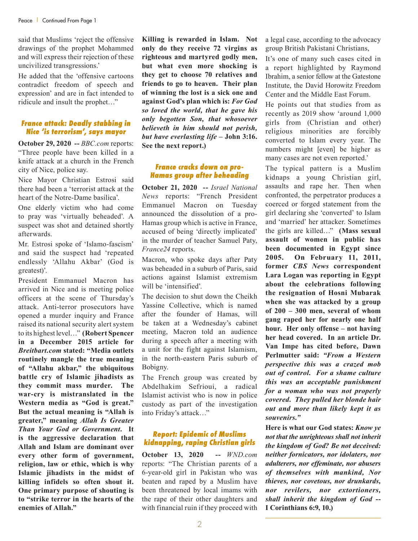said that Muslims 'reject the offensive drawings of the prophet Mohammed and will express their rejection of these uncivilized transgressions.'

He added that the 'offensive cartoons contradict freedom of speech and expression' and are in fact intended to ridicule and insult the prophet…"

#### *France attack: Deadly stabbing in Nice 'is terrorism', says mayor*

**October 29, 2020 --** *BBC.com* reports: "Three people have been killed in a knife attack at a church in the French city of Nice, police say.

Nice Mayor Christian Estrosi said there had been a 'terrorist attack at the heart of the Notre-Dame basilica'.

One elderly victim who had come to pray was 'virtually beheaded'. A suspect was shot and detained shortly afterwards.

Mr. Estrosi spoke of 'Islamo-fascism' and said the suspect had 'repeated endlessly 'Allahu Akbar' (God is greatest)'.

President Emmanuel Macron has arrived in Nice and is meeting police officers at the scene of Thursday's attack. Anti-terror prosecutors have opened a murder inquiry and France raised its national security alert system to its highest level…" **(Robert Spencer in a December 2015 article for**  *Breitbart.com* **stated: "Media outlets routinely mangle the true meaning of "Allahu akbar," the ubiquitous battle cry of Islamic jihadists as they commit mass murder. The war-cry is mistranslated in the Western media as "God is great." But the actual meaning is "Allah is greater," meaning** *Allah Is Greater Than Your God or Government***. It is the aggressive declaration that Allah and Islam are dominant over every other form of government, religion, law or ethic, which is why Islamic jihadists in the midst of killing infidels so often shout it. One primary purpose of shouting is to "strike terror in the hearts of the enemies of Allah."** 

**Killing is rewarded in Islam. Not only do they receive 72 virgins as righteous and martyred godly men, but what even more shocking is they get to choose 70 relatives and friends to go to heaven. Their plan of winning the lost is a sick one and against God's plan which is:** *For God so loved the world, that he gave his only begotten Son, that whosoever believeth in him should not perish, but have everlasting life –* **John 3:16. See the next report.)**

#### *France cracks down on pro-Hamas group after beheading*

**October 21, 2020 --** *Israel National News* reports: "French President Emmanuel Macron on Tuesday announced the dissolution of a pro-Hamas group which is active in France, accused of being 'directly implicated' in the murder of teacher Samuel Paty, *France24* reports.

Macron, who spoke days after Paty was beheaded in a suburb of Paris, said actions against Islamist extremism will be 'intensified'.

The decision to shut down the Cheikh Yassine Collective, which is named after the founder of Hamas, will be taken at a Wednesday's cabinet meeting, Macron told an audience during a speech after a meeting with a unit for the fight against Islamism, in the north-eastern Paris suburb of Bobigny.

The French group was created by Abdelhakim Sefrioui, a radical Islamist activist who is now in police custody as part of the investigation into Friday's attack…"

#### *Report: Epidemic of Muslims kidnapping, raping Christian girls*

**October 13, 2020 --** *WND.com* reports: "The Christian parents of a 6-year-old girl in Pakistan who was beaten and raped by a Muslim have been threatened by local imams with the rape of their other daughters and with financial ruin if they proceed with a legal case, according to the advocacy group British Pakistani Christians,

It's one of many such cases cited in a report highlighted by Raymond Ibrahim, a senior fellow at the Gatestone Institute, the David Horowitz Freedom Center and the Middle East Forum.

He points out that studies from as recently as 2019 show 'around 1,000 girls from (Christian and other) religious minorities are forcibly converted to Islam every year. The numbers might [even] be higher as many cases are not even reported.'

The typical pattern is a Muslim kidnaps a young Christian girl, assaults and rape her. Then when confronted, the perpetrator produces a coerced or forged statement from the girl declaring she 'converted' to Islam and 'married' her attacker. Sometimes the girls are killed…" **(Mass sexual assault of women in public has been documented in Egypt since 2005. On February 11, 2011, former** *CBS News* **correspondent Lara Logan was reporting in Egypt about the celebrations following the resignation of Hosni Mubarak when she was attacked by a group of 200 – 300 men, several of whom gang raped her for nearly one half hour. Her only offense – not having her head covered. In an article Dr. Van Impe has cited before, Dawn Perlmutter said:** *"From a Western perspective this was a crazed mob out of control. For a shame culture this was an acceptable punishment for a woman who was not properly covered. They pulled her blonde hair out and more than likely kept it as souvenirs."* 

**Here is what our God states:** *Know ye not that the unrighteous shall not inherit the kingdom of God? Be not deceived: neither fornicators, nor idolaters, nor adulterers, nor effeminate, nor abusers of themselves with mankind, Nor thieves, nor covetous, nor drunkards, nor revilers, nor extortioners, shall inherit the kingdom of God* **-- I Corinthians 6:9, 10.)**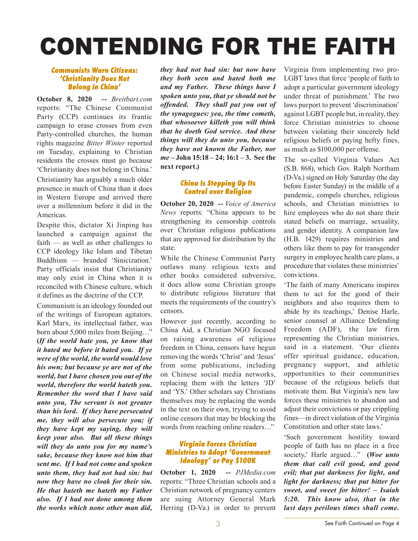# CONTENDING FOR THE FAITH

#### *Communists Warn Citizens: 'Christianity Does Not Belong in China'*

**October 8, 2020 --** *Breitbart.com*  reports: "The Chinese Communist Party (CCP) continues its frantic campaign to erase crosses from even Party-controlled churches, the human rights magazine *Bitter Winter* reported on Tuesday, explaining to Christian residents the crosses must go because 'Christianity does not belong in China.'

Christianity has arguably a much older presence in much of China than it does in Western Europe and arrived there over a millennium before it did in the Americas.

Despite this, dictator Xi Jinping has launched a campaign against the faith — as well as other challenges to CCP ideology like Islam and Tibetan Buddhism — branded 'Sinicization.' Party officials insist that Christianity may only exist in China when it is reconciled with Chinese culture, which it defines as the doctrine of the CCP.

Communism is an ideology founded out of the writings of European agitators. Karl Marx, its intellectual father, was born about 5,000 miles from Beijing…" **(***If the world hate you, ye know that it hated me before it hated you. If ye were of the world, the world would love his own; but because ye are not of the world, but I have chosen you out of the world, therefore the world hateth you. Remember the word that I have said unto you, The servant is not greater than his lord. If they have persecuted me, they will also persecute you; if they have kept my saying, they will keep your also. But all these things will they do unto you for my name's sake, because they know not him that sent me. If I had not come and spoken unto them, they had not had sin: but now they have no cloak for their sin. He that hateth me hateth my Father also. If I had not done among them the works which none other man did,* 

*they had not had sin: but now have they both seen and hated both me and my Father. These things have I spoken unto you, that ye should not be offended. They shall put you out of the synagogues: yea, the time cometh, that whosoever killeth you will think that he doeth God service. And these things will they do unto you, because they have not known the Father, nor me* **– John 15:18 – 24; 16:1 – 3. See the next report.)**

#### *China Is Stepping Up Its Control over Religion*

**October 20, 2020 --** *Voice of America News* reports: "China appears to be strengthening its censorship controls over Christian religious publications that are approved for distribution by the state.

While the Chinese Communist Party outlaws many religious texts and other books considered subversive, it does allow some Christian groups to distribute religious literature that meets the requirements of the country's censors.

However just recently, according to China Aid, a Christian NGO focused on raising awareness of religious freedom in China, censors have begun removing the words 'Christ' and 'Jesus' from some publications, including on Chinese social media networks, replacing them with the letters 'JD' and 'YS.' Other scholars say Christians themselves may be replacing the words in the text on their own, trying to avoid online censors that may be blocking the words from reaching online readers…"

#### *Virginia Forces Christian Ministries to Adopt 'Government Ideology' or Pay \$100K*

**October 1, 2020 --** *PJMedia.com*  reports: "Three Christian schools and a Christian network of pregnancy centers are suing Attorney General Mark Herring (D-Va.) in order to prevent

Virginia from implementing two pro-LGBT laws that force 'people of faith to adopt a particular government ideology under threat of punishment.' The two laws purport to prevent 'discrimination' against LGBT people but, in reality, they force Christian ministries to choose between violating their sincerely held religious beliefs or paying hefty fines, as much as \$100,000 per offense.

The so-called Virginia Values Act (S.B. 868), which Gov. Ralph Northam (D-Va.) signed on Holy Saturday (the day before Easter Sunday) in the middle of a pandemic, compels churches, religious schools, and Christian ministries to hire employees who do not share their stated beliefs on marriage, sexuality, and gender identity. A companion law (H.B. 1429) requires ministries and others like them to pay for transgender surgery in employee health care plans, a procedure that violates these ministries' convictions.

'The faith of many Americans inspires them to act for the good of their neighbors and also requires them to abide by its teachings,' Denise Harle, senior counsel at Alliance Defending Freedom (ADF), the law firm representing the Christian ministries, said in a statement. 'Our clients offer spiritual guidance, education, pregnancy support, and athletic opportunities to their communities because of the religious beliefs that motivate them. But Virginia's new law forces these ministries to abandon and adjust their convictions or pay crippling fines—in direct violation of the Virginia Constitution and other state laws.'

'Such government hostility toward people of faith has no place in a free society,' Harle argued…" **(***Woe unto them that call evil good, and good evil; that put darkness for light, and light for darkness; that put bitter for sweet, and sweet for bitter! – Isaiah 5:20. This know also, that in the last days perilous times shall come.*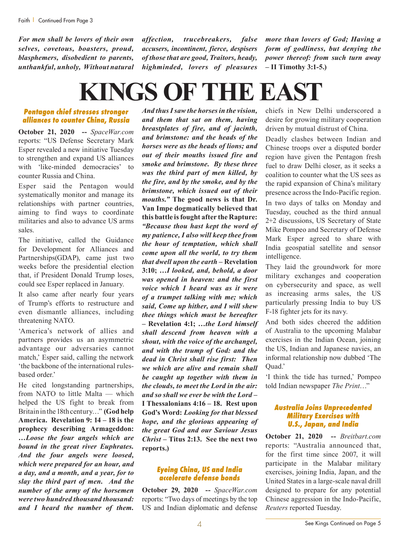*For men shall be lovers of their own selves, covetous, boasters, proud, blasphemers, disobedient to parents, unthankful, unholy, Without natural*  *affection, trucebreakers, false accusers, incontinent, fierce, despisers of those that are good, Traitors, heady, highminded, lovers of pleasures* 

*more than lovers of God; Having a form of godliness, but denying the power thereof: from such turn away* **– II Timothy 3:1-5.)** 

## **KINGS OF THE EAST**

#### *Pentagon chief stresses stronger alliances to counter China, Russia*

**October 21, 2020 --** *SpaceWar.com*  reports: "US Defense Secretary Mark Esper revealed a new initiative Tuesday to strengthen and expand US alliances with 'like-minded democracies' to counter Russia and China.

Esper said the Pentagon would systematically monitor and manage its relationships with partner countries, aiming to find ways to coordinate militaries and also to advance US arms sales.

The initiative, called the Guidance for Development for Alliances and Partnerships(GDAP), came just two weeks before the presidential election that, if President Donald Trump loses, could see Esper replaced in January.

It also came after nearly four years of Trump's efforts to restructure and even dismantle alliances, including threatening NATO.

'America's network of allies and partners provides us an asymmetric advantage our adversaries cannot match,' Esper said, calling the network 'the backbone of the international rulesbased order.'

He cited longstanding partnerships, from NATO to little Malta — which helped the US fight to break from Britain in the 18th century…" **(God help America. Revelation 9: 14 – 18 is the prophecy describing Armageddon:**  *…Loose the four angels which are bound in the great river Euphrates. And the four angels were loosed, which were prepared for an hour, and a day, and a month, and a year, for to slay the third part of men. And the number of the army of the horsemen were two hundred thousand thousand: and I heard the number of them.* 

*And thus I saw the horses in the vision, and them that sat on them, having breastplates of fire, and of jacinth, and brimstone: and the heads of the horses were as the heads of lions; and out of their mouths issued fire and smoke and brimstone. By these three was the third part of men killed, by the fire, and by the smoke, and by the brimstone, which issued out of their mouths."* **The good news is that Dr. Van Impe dogmatically believed that this battle is fought after the Rapture:**  *"Because thou hast kept the word of my patience, I also will keep thee from the hour of temptation, which shall come upon all the world, to try them that dwell upon the earth –* **Revelation 3:10;** *…I looked, and, behold, a door was opened in heaven: and the first voice which I heard was as it were of a trumpet talking with me; which said, Come up hither, and I will shew thee things which must be hereafter –* **Revelation 4:1;** *…the Lord himself shall descend from heaven with a shout, with the voice of the archangel, and with the trump of God: and the dead in Christ shall rise first: Then we which are alive and remain shall be caught up together with them in the clouds, to meet the Lord in the air: and so shall we ever be with the Lord –* **I Thessalonians 4:16 – 18. Rest upon God's Word:** *Looking for that blessed hope, and the glorious appearing of the great God and our Saviour Jesus Christ –* **Titus 2:13. See the next two reports.)**

#### *Eyeing China, US and India accelerate defense bonds*

**October 29, 2020 --** *SpaceWar.com* reports: "Two days of meetings by the top US and Indian diplomatic and defense chiefs in New Delhi underscored a desire for growing military cooperation driven by mutual distrust of China.

Deadly clashes between Indian and Chinese troops over a disputed border region have given the Pentagon fresh fuel to draw Delhi closer, as it seeks a coalition to counter what the US sees as the rapid expansion of China's military presence across the Indo-Pacific region. In two days of talks on Monday and Tuesday, couched as the third annual 2+2 discussions, US Secretary of State Mike Pompeo and Secretary of Defense Mark Esper agreed to share with India geospatial satellite and sensor intelligence.

They laid the groundwork for more military exchanges and cooperation on cybersecurity and space, as well as increasing arms sales, the US particularly pressing India to buy US F-18 fighter jets for its navy.

And both sides cheered the addition of Australia to the upcoming Malabar exercises in the Indian Ocean, joining the US, Indian and Japanese navies, an informal relationship now dubbed 'The Ouad.'

'I think the tide has turned,' Pompeo told Indian newspaper *The Print*…"

#### *Australia Joins Unprecedented Military Exercises with U.S., Japan, and India*

**October 21, 2020 --** *Breitbart.com* reports: "Australia announced that, for the first time since 2007, it will participate in the Malabar military exercises, joining India, Japan, and the United States in a large-scale naval drill designed to prepare for any potential Chinese aggression in the Indo-Pacific, *Reuters* reported Tuesday.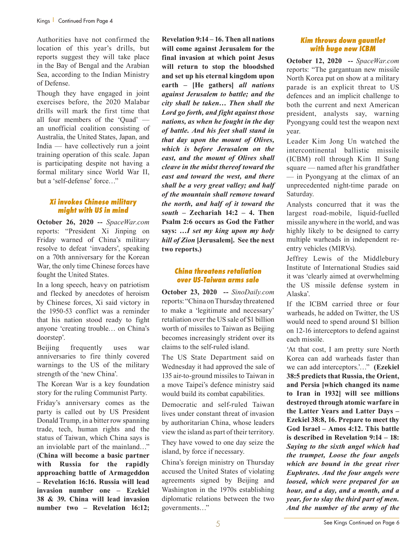Authorities have not confirmed the location of this year's drills, but reports suggest they will take place in the Bay of Bengal and the Arabian Sea, according to the Indian Ministry of Defense.

Though they have engaged in joint exercises before, the 2020 Malabar drills will mark the first time that all four members of the 'Quad' an unofficial coalition consisting of Australia, the United States, Japan, and India — have collectively run a joint training operation of this scale. Japan is participating despite not having a formal military since World War II, but a 'self-defense' force…"

#### *Xi invokes Chinese military might with US in mind*

**October 26, 2020 --** *SpaceWar.com*  reports: "President Xi Jinping on Friday warned of China's military resolve to defeat 'invaders', speaking on a 70th anniversary for the Korean War, the only time Chinese forces have fought the United States.

In a long speech, heavy on patriotism and flecked by anecdotes of heroism by Chinese forces, Xi said victory in the 1950-53 conflict was a reminder that his nation stood ready to fight anyone 'creating trouble… on China's doorstep'.

Beijing frequently uses war anniversaries to fire thinly covered warnings to the US of the military strength of the 'new China'.

The Korean War is a key foundation story for the ruling Communist Party. Friday's anniversary comes as the party is called out by US President Donald Trump, in a bitter row spanning trade, tech, human rights and the status of Taiwan, which China says is an inviolable part of the mainland…" (**China will become a basic partner with Russia for the rapidly approaching battle of Armageddon – Revelation 16:16. Russia will lead invasion number one – Ezekiel 38 & 39. China will lead invasion number two – Revelation 16:12;** 

**Revelation 9:14 – 16. Then all nations will come against Jerusalem for the final invasion at which point Jesus will return to stop the bloodshed and set up his eternal kingdom upon earth – [He gathers]** *all nations against Jerusalem to battle; and the city shall be taken… Then shall the Lord go forth, and fight against those nations, as when he fought in the day of battle. And his feet shall stand in that day upon the mount of Olives, which is before Jerusalem on the east, and the mount of Olives shall cleave in the midst thereof toward the east and toward the west, and there shall be a very great valley; and half of the mountain shall remove toward the north, and half of it toward the south –* **Zechariah 14:2 – 4. Then Psalm 2:6 occurs as God the Father says:** *…I set my king upon my holy hill of Zion* **[Jerusalem]. See the next two reports.)**

#### *China threatens retaliation over US-Taiwan arms sale*

**October 23, 2020 --** *SinoDaily.com* reports: "China on Thursday threatened to make a 'legitimate and necessary' retaliation over the US sale of \$1 billion worth of missiles to Taiwan as Beijing becomes increasingly strident over its claims to the self-ruled island.

The US State Department said on Wednesday it had approved the sale of 135 air-to-ground missiles to Taiwan in a move Taipei's defence ministry said would build its combat capabilities.

Democratic and self-ruled Taiwan lives under constant threat of invasion by authoritarian China, whose leaders view the island as part of their territory. They have vowed to one day seize the island, by force if necessary.

China's foreign ministry on Thursday accused the United States of violating agreements signed by Beijing and Washington in the 1970s establishing diplomatic relations between the two governments…"

#### *Kim throws down gauntlet with huge new ICBM*

**October 12, 2020 --** *SpaceWar.com*  reports: "The gargantuan new missile North Korea put on show at a military parade is an explicit threat to US defences and an implicit challenge to both the current and next American president, analysts say, warning Pyongyang could test the weapon next year.

Leader Kim Jong Un watched the intercontinental ballistic missile (ICBM) roll through Kim Il Sung square — named after his grandfather — in Pyongyang at the climax of an unprecedented night-time parade on Saturday.

Analysts concurred that it was the largest road-mobile, liquid-fuelled missile anywhere in the world, and was highly likely to be designed to carry multiple warheads in independent reentry vehicles (MIRVs).

Jeffrey Lewis of the Middlebury Institute of International Studies said it was 'clearly aimed at overwhelming the US missile defense system in Alaska'.

If the ICBM carried three or four warheads, he added on Twitter, the US would need to spend around \$1 billion on 12-16 interceptors to defend against each missile.

'At that cost, I am pretty sure North Korea can add warheads faster than we can add interceptors.'…" **(Ezekiel 38:5 predicts that Russia, the Orient, and Persia [which changed its name to Iran in 1932] will see millions destroyed through atomic warfare in the Latter Years and Latter Days – Ezekiel 38:8, 16. Prepare to meet thy God Israel – Amos 4:12. This battle is described in Revelation 9:14 – 18:**  *Saying to the sixth angel which had the trumpet, Loose the four angels which are bound in the great river Euphrates. And the four angels were loosed, which were prepared for an hour, and a day, and a month, and a year, for to slay the third part of men. And the number of the army of the*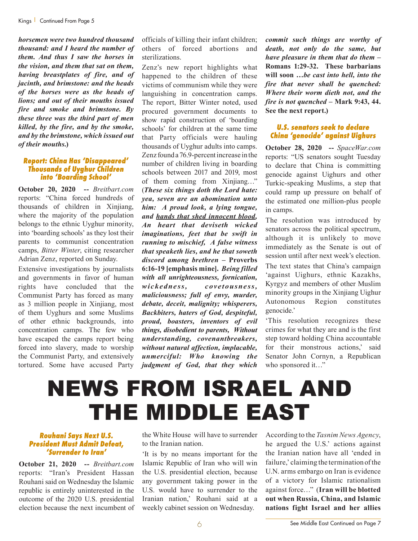*horsemen were two hundred thousand thousand: and I heard the number of them. And thus I saw the horses in the vision, and them that sat on them, having breastplates of fire, and of jacinth, and brimstone: and the heads of the horses were as the heads of lions; and out of their mouths issued fire and smoke and brimstone. By these three was the third part of men killed, by the fire, and by the smoke, and by the brimstone, which issued out of their mouths.***)**

#### *Report: China Has 'Disappeared' Thousands of Uyghur Children into 'Boarding School'*

**October 20, 2020 --** *Breitbart.com* reports: "China forced hundreds of thousands of children in Xinjiang, where the majority of the population belongs to the ethnic Uyghur minority, into 'boarding schools' as they lost their parents to communist concentration camps, *Bitter Winter*, citing researcher Adrian Zenz, reported on Sunday.

Extensive investigations by journalists and governments in favor of human rights have concluded that the Communist Party has forced as many as 3 million people in Xinjiang, most of them Uyghurs and some Muslims of other ethnic backgrounds, into concentration camps. The few who have escaped the camps report being forced into slavery, made to worship the Communist Party, and extensively tortured. Some have accused Party officials of killing their infant children; others of forced abortions and sterilizations.

Zenz's new report highlights what happened to the children of these victims of communism while they were languishing in concentration camps. The report, Bitter Winter noted, used procured government documents to show rapid construction of 'boarding schools' for children at the same time that Party officials were hauling thousands of Uyghur adults into camps. Zenz found a 76.9-percent increase in the number of children living in boarding schools between 2017 and 2019, most of them coming from Xinjiang…" (*These six things doth the Lord hate: yea, seven are an abomination unto him: A proud look, a lying tongue, and hands that shed innocent blood, An heart that deviseth wicked imaginations, feet that be swift in running to mischief, A false witness that speaketh lies, and he that soweth discord among brethren –* **Proverbs 6:16-19 [emphasis mine].** *Being filled with all unrighteousness, fornication, wickedness, covetousness, maliciousness; full of envy, murder, debate, deceit, malignity; whisperers, Backbiters, haters of God, despiteful, proud, boasters, inventors of evil things, disobedient to parents, Without understanding, covenantbreakers, without natural affection, implacable, unmerciful: Who knowing the judgment of God, that they which* 

*commit such things are worthy of death, not only do the same, but have pleasure in them that do them –* **Romans 1:29-32. These barbarians will soon** *…be cast into hell, into the fire that never shall be quenched: Where their worm dieth not, and the fire is not quenched* **– Mark 9:43, 44. See the next report.)**

#### *U.S. senators seek to declare China 'genocide' against Uighurs*

**October 28, 2020 --** *SpaceWar.com* reports: "US senators sought Tuesday to declare that China is committing genocide against Uighurs and other Turkic-speaking Muslims, a step that could ramp up pressure on behalf of the estimated one million-plus people in camps.

The resolution was introduced by senators across the political spectrum, although it is unlikely to move immediately as the Senate is out of session until after next week's election.

The text states that China's campaign 'against Uighurs, ethnic Kazakhs, Kyrgyz and members of other Muslim minority groups in the Xinjiang Uighur Autonomous Region constitutes genocide.'

'This resolution recognizes these crimes for what they are and is the first step toward holding China accountable for their monstrous actions,' said Senator John Cornyn, a Republican who sponsored it..."

### NEWS FROM ISRAEL AND THE MIDDLE EAST

#### *Rouhani Says Next U.S. President Must Admit Defeat, 'Surrender to Iran'*

**October 21, 2020 --** *Breitbart.com* reports: "Iran's President Hassan Rouhani said on Wednesday the Islamic republic is entirely uninterested in the outcome of the 2020 U.S. presidential election because the next incumbent of

the White House will have to surrender to the Iranian nation.

'It is by no means important for the Islamic Republic of Iran who will win the U.S. presidential election, because any government taking power in the U.S. would have to surrender to the Iranian nation,' Rouhani said at a weekly cabinet session on Wednesday.

According to the *Tasnim News Agency*, he argued the U.S.' actions against the Iranian nation have all 'ended in failure,' claiming the termination of the U.N. arms embargo on Iran is evidence of a victory for Islamic rationalism against force…" (**Iran will be blotted out when Russia, China, and Islamic nations fight Israel and her allies**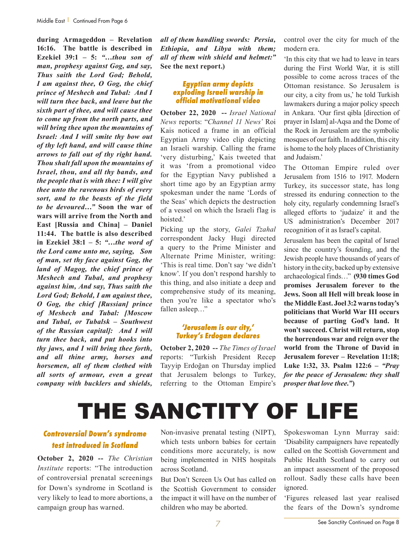**during Armageddon – Revelation 16:16. The battle is described in Ezekiel 39:1 – 5:** *"…thou son of man, prophesy against Gog, and say, Thus saith the Lord God; Behold, I am against thee, O Gog, the chief prince of Meshech and Tubal: And I will turn thee back, and leave but the sixth part of thee, and will cause thee to come up from the north parts, and will bring thee upon the mountains of Israel: And I will smite thy bow out of thy left hand, and will cause thine arrows to fall out of thy right hand. Thou shalt fall upon the mountains of Israel, thou, and all thy bands, and the people that is with thee: I will give thee unto the ravenous birds of every sort, and to the beasts of the field to be devoured…"* **Soon the war of wars will arrive from the North and East [Russia and China] – Daniel 11:44. The battle is also described in Ezekiel 38:1 – 5:** *"…the word of the Lord came unto me, saying, Son of man, set thy face against Gog, the land of Magog, the chief prince of Meshech and Tubal, and prophesy against him, And say, Thus saith the Lord God; Behold, I am against thee, O Gog, the chief [Russian] prince of Meshech and Tubal: [Moscow and Tubal, or Tubalsk – Southwest of the Russian capital]: And I will turn thee back, and put hooks into thy jaws, and I will bring thee forth, and all thine army, horses and horsemen, all of them clothed with all sorts of armour, even a great company with bucklers and shields,* 

*all of them handling swords: Persia, Ethiopia, and Libya with them; all of them with shield and helmet:"* **See the next report.)**

#### *Egyptian army depicts exploding Israeli warship in official motivational video*

**October 22, 2020 --** *Israel National News* reports: "*Channel 11 News'* Roi Kais noticed a frame in an official Egyptian Army video clip depicting an Israeli warship. Calling the frame 'very disturbing,' Kais tweeted that it was 'from a promotional video for the Egyptian Navy published a short time ago by an Egyptian army spokesman under the name 'Lords of the Seas' which depicts the destruction of a vessel on which the Israeli flag is hoisted.'

Picking up the story, *Galei Tzahal* correspondent Jacky Hugi directed a query to the Prime Minister and Alternate Prime Minister, writing: 'This is real time. Don't say 'we didn't know'. If you don't respond harshly to this thing, and also initiate a deep and comprehensive study of its meaning, then you're like a spectator who's fallen asleep…"

#### *'Jerusalem is our city,' Turkey's Erdogan declares*

**October 2, 2020 --** *The Times of Israel*  reports: "Turkish President Recep Tayyip Erdoğan on Thursday implied that Jerusalem belongs to Turkey, referring to the Ottoman Empire's

control over the city for much of the modern era.

'In this city that we had to leave in tears during the First World War, it is still possible to come across traces of the Ottoman resistance. So Jerusalem is our city, a city from us,' he told Turkish lawmakers during a major policy speech in Ankara. 'Our first qibla [direction of prayer in Islam] al-Aqsa and the Dome of the Rock in Jerusalem are the symbolic mosques of our faith. In addition, this city is home to the holy places of Christianity and Judaism.'

The Ottoman Empire ruled over Jerusalem from 1516 to 1917. Modern Turkey, its successor state, has long stressed its enduring connection to the holy city, regularly condemning Israel's alleged efforts to 'judaize' it and the US administration's December 2017 recognition of it as Israel's capital.

Jerusalem has been the capital of Israel since the country's founding, and the Jewish people have thousands of years of history in the city, backed up by extensive archaeological finds…" **(930 times God promises Jerusalem forever to the Jews. Soon all Hell will break loose in the Middle East. Joel 3:2 warns today's politicians that World War III occurs because of parting God's land. It won't succeed. Christ will return, stop the horrendous war and reign over the world from the Throne of David in Jerusalem forever – Revelation 11:18; Luke 1:32, 33. Psalm 122:6 –** *"Pray for the peace of Jerusalem: they shall prosper that love thee."***)**

### THE SANCTITY OF LIFE

#### *Controversial Down's syndrome test introduced in Scotland*

**October 2, 2020 --** *The Christian Institute* reports: "The introduction of controversial prenatal screenings for Down's syndrome in Scotland is very likely to lead to more abortions, a campaign group has warned.

Non-invasive prenatal testing (NIPT), which tests unborn babies for certain conditions more accurately, is now being implemented in NHS hospitals across Scotland.

But Don't Screen Us Out has called on the Scottish Government to consider the impact it will have on the number of children who may be aborted.

Spokeswoman Lynn Murray said: 'Disability campaigners have repeatedly called on the Scottish Government and Public Health Scotland to carry out an impact assessment of the proposed rollout. Sadly these calls have been ignored.

'Figures released last year realised the fears of the Down's syndrome